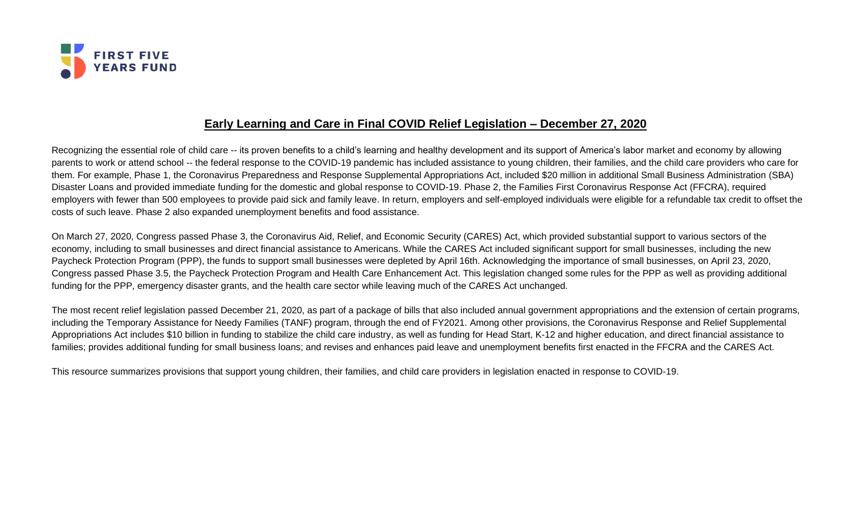

## **Early Learning and Care in Final COVID Relief Legislation – December 27, 2020**

Recognizing the essential role of child care -- its proven benefits to a child's learning and healthy development and its support of America's labor market and economy by allowing parents to work or attend school -- the federal response to the COVID-19 pandemic has included assistance to young children, their families, and the child care providers who care for them. For example, Phase 1, the Coronavirus Preparedness and Response Supplemental Appropriations Act, included \$20 million in additional Small Business Administration (SBA) Disaster Loans and provided immediate funding for the domestic and global response to COVID-19. Phase 2, the Families First Coronavirus Response Act (FFCRA), required employers with fewer than 500 employees to provide paid sick and family leave. In return, employers and self-employed individuals were eligible for a refundable tax credit to offset the costs of such leave. Phase 2 also expanded unemployment benefits and food assistance.

On March 27, 2020, Congress passed Phase 3, the Coronavirus Aid, Relief, and Economic Security (CARES) Act, which provided substantial support to various sectors of the economy, including to small businesses and direct financial assistance to Americans. While the CARES Act included significant support for small businesses, including the new Paycheck Protection Program (PPP), the funds to support small businesses were depleted by April 16th. Acknowledging the importance of small businesses, on April 23, 2020, Congress passed Phase 3.5, the Paycheck Protection Program and Health Care Enhancement Act. This legislation changed some rules for the PPP as well as providing additional funding for the PPP, emergency disaster grants, and the health care sector while leaving much of the CARES Act unchanged.

The most recent relief legislation passed December 21, 2020, as part of a package of bills that also included annual government appropriations and the extension of certain programs, including the Temporary Assistance for Needy Families (TANF) program, through the end of FY2021. Among other provisions, the Coronavirus Response and Relief Supplemental Appropriations Act includes \$10 billion in funding to stabilize the child care industry, as well as funding for Head Start, K-12 and higher education, and direct financial assistance to families; provides additional funding for small business loans; and revises and enhances paid leave and unemployment benefits first enacted in the FFCRA and the CARES Act.

This resource summarizes provisions that support young children, their families, and child care providers in legislation enacted in response to COVID-19.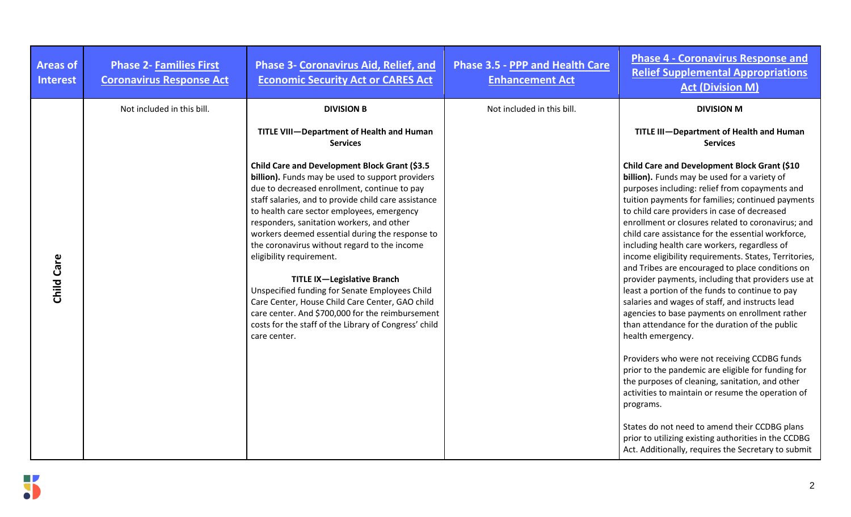| <b>Areas of</b><br><b>Interest</b> | <b>Phase 2- Families First</b><br><b>Coronavirus Response Act</b> | <b>Phase 3- Coronavirus Aid, Relief, and</b><br><b>Economic Security Act or CARES Act</b>                                                                                                                                                                                                                                                                                                                                                                                                                                                                                                                                                                                                                   | <b>Phase 3.5 - PPP and Health Care</b><br><b>Enhancement Act</b> | <b>Phase 4 - Coronavirus Response and</b><br><b>Relief Supplemental Appropriations</b><br><b>Act (Division M)</b>                                                                                                                                                                                                                                                                                                                                                                                                                                                                                                                                                                                                                                                                                                                                                                                                                                                                                                                                                                                                                                                                                            |
|------------------------------------|-------------------------------------------------------------------|-------------------------------------------------------------------------------------------------------------------------------------------------------------------------------------------------------------------------------------------------------------------------------------------------------------------------------------------------------------------------------------------------------------------------------------------------------------------------------------------------------------------------------------------------------------------------------------------------------------------------------------------------------------------------------------------------------------|------------------------------------------------------------------|--------------------------------------------------------------------------------------------------------------------------------------------------------------------------------------------------------------------------------------------------------------------------------------------------------------------------------------------------------------------------------------------------------------------------------------------------------------------------------------------------------------------------------------------------------------------------------------------------------------------------------------------------------------------------------------------------------------------------------------------------------------------------------------------------------------------------------------------------------------------------------------------------------------------------------------------------------------------------------------------------------------------------------------------------------------------------------------------------------------------------------------------------------------------------------------------------------------|
|                                    | Not included in this bill.                                        | <b>DIVISION B</b>                                                                                                                                                                                                                                                                                                                                                                                                                                                                                                                                                                                                                                                                                           | Not included in this bill.                                       | <b>DIVISION M</b>                                                                                                                                                                                                                                                                                                                                                                                                                                                                                                                                                                                                                                                                                                                                                                                                                                                                                                                                                                                                                                                                                                                                                                                            |
|                                    |                                                                   | TITLE VIII-Department of Health and Human<br><b>Services</b>                                                                                                                                                                                                                                                                                                                                                                                                                                                                                                                                                                                                                                                |                                                                  | TITLE III-Department of Health and Human<br><b>Services</b>                                                                                                                                                                                                                                                                                                                                                                                                                                                                                                                                                                                                                                                                                                                                                                                                                                                                                                                                                                                                                                                                                                                                                  |
| Child Care                         |                                                                   | Child Care and Development Block Grant (\$3.5<br>billion). Funds may be used to support providers<br>due to decreased enrollment, continue to pay<br>staff salaries, and to provide child care assistance<br>to health care sector employees, emergency<br>responders, sanitation workers, and other<br>workers deemed essential during the response to<br>the coronavirus without regard to the income<br>eligibility requirement.<br><b>TITLE IX-Legislative Branch</b><br>Unspecified funding for Senate Employees Child<br>Care Center, House Child Care Center, GAO child<br>care center. And \$700,000 for the reimbursement<br>costs for the staff of the Library of Congress' child<br>care center. |                                                                  | Child Care and Development Block Grant (\$10<br>billion). Funds may be used for a variety of<br>purposes including: relief from copayments and<br>tuition payments for families; continued payments<br>to child care providers in case of decreased<br>enrollment or closures related to coronavirus; and<br>child care assistance for the essential workforce,<br>including health care workers, regardless of<br>income eligibility requirements. States, Territories,<br>and Tribes are encouraged to place conditions on<br>provider payments, including that providers use at<br>least a portion of the funds to continue to pay<br>salaries and wages of staff, and instructs lead<br>agencies to base payments on enrollment rather<br>than attendance for the duration of the public<br>health emergency.<br>Providers who were not receiving CCDBG funds<br>prior to the pandemic are eligible for funding for<br>the purposes of cleaning, sanitation, and other<br>activities to maintain or resume the operation of<br>programs.<br>States do not need to amend their CCDBG plans<br>prior to utilizing existing authorities in the CCDBG<br>Act. Additionally, requires the Secretary to submit |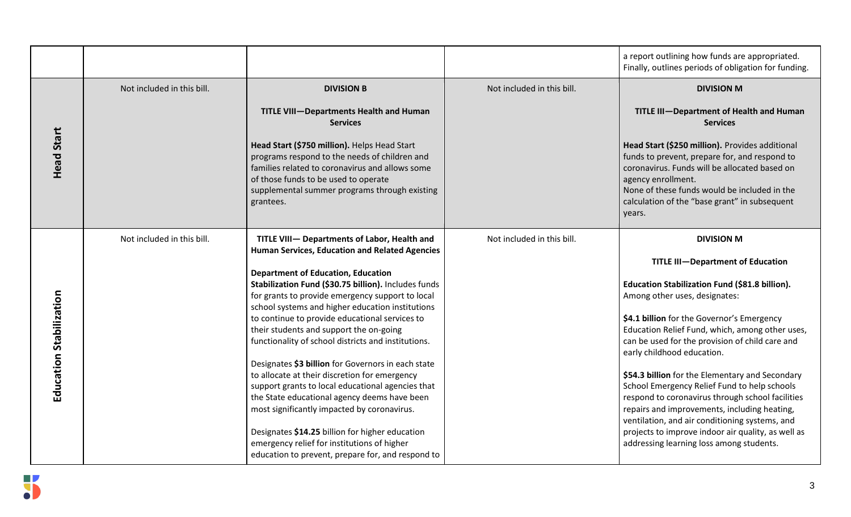|                         |                            |                                                                                                                                                                                                                                                        |                            | a report outlining how funds are appropriated.<br>Finally, outlines periods of obligation for funding.                                                                                                                                                                             |
|-------------------------|----------------------------|--------------------------------------------------------------------------------------------------------------------------------------------------------------------------------------------------------------------------------------------------------|----------------------------|------------------------------------------------------------------------------------------------------------------------------------------------------------------------------------------------------------------------------------------------------------------------------------|
|                         | Not included in this bill. | <b>DIVISION B</b>                                                                                                                                                                                                                                      | Not included in this bill. | <b>DIVISION M</b>                                                                                                                                                                                                                                                                  |
|                         |                            | <b>TITLE VIII-Departments Health and Human</b><br><b>Services</b>                                                                                                                                                                                      |                            | TITLE III-Department of Health and Human<br><b>Services</b>                                                                                                                                                                                                                        |
| <b>Head Start</b>       |                            | Head Start (\$750 million). Helps Head Start<br>programs respond to the needs of children and<br>families related to coronavirus and allows some<br>of those funds to be used to operate<br>supplemental summer programs through existing<br>grantees. |                            | Head Start (\$250 million). Provides additional<br>funds to prevent, prepare for, and respond to<br>coronavirus. Funds will be allocated based on<br>agency enrollment.<br>None of these funds would be included in the<br>calculation of the "base grant" in subsequent<br>years. |
|                         | Not included in this bill. | TITLE VIII- Departments of Labor, Health and<br><b>Human Services, Education and Related Agencies</b>                                                                                                                                                  | Not included in this bill. | <b>DIVISION M</b>                                                                                                                                                                                                                                                                  |
|                         |                            |                                                                                                                                                                                                                                                        |                            | <b>TITLE III-Department of Education</b>                                                                                                                                                                                                                                           |
|                         |                            | <b>Department of Education, Education</b><br>Stabilization Fund (\$30.75 billion). Includes funds                                                                                                                                                      |                            | Education Stabilization Fund (\$81.8 billion).                                                                                                                                                                                                                                     |
|                         |                            | for grants to provide emergency support to local                                                                                                                                                                                                       |                            | Among other uses, designates:                                                                                                                                                                                                                                                      |
|                         |                            | school systems and higher education institutions<br>to continue to provide educational services to                                                                                                                                                     |                            | \$4.1 billion for the Governor's Emergency                                                                                                                                                                                                                                         |
|                         |                            | their students and support the on-going                                                                                                                                                                                                                |                            | Education Relief Fund, which, among other uses,                                                                                                                                                                                                                                    |
| Education Stabilization |                            | functionality of school districts and institutions.                                                                                                                                                                                                    |                            | can be used for the provision of child care and<br>early childhood education.                                                                                                                                                                                                      |
|                         |                            | Designates \$3 billion for Governors in each state                                                                                                                                                                                                     |                            |                                                                                                                                                                                                                                                                                    |
|                         |                            | to allocate at their discretion for emergency<br>support grants to local educational agencies that                                                                                                                                                     |                            | \$54.3 billion for the Elementary and Secondary<br>School Emergency Relief Fund to help schools                                                                                                                                                                                    |
|                         |                            | the State educational agency deems have been                                                                                                                                                                                                           |                            | respond to coronavirus through school facilities                                                                                                                                                                                                                                   |
|                         |                            | most significantly impacted by coronavirus.                                                                                                                                                                                                            |                            | repairs and improvements, including heating,                                                                                                                                                                                                                                       |
|                         |                            | Designates \$14.25 billion for higher education<br>emergency relief for institutions of higher<br>education to prevent, prepare for, and respond to                                                                                                    |                            | ventilation, and air conditioning systems, and<br>projects to improve indoor air quality, as well as<br>addressing learning loss among students.                                                                                                                                   |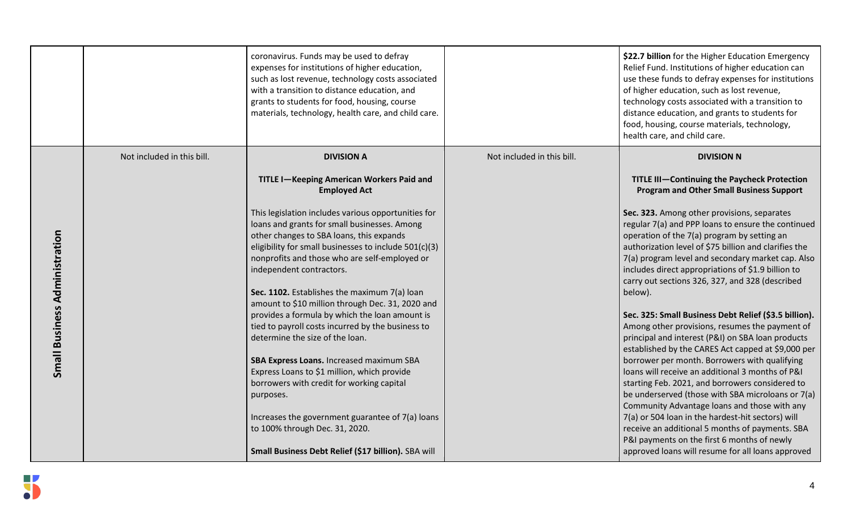|                                      |                            | coronavirus. Funds may be used to defray<br>expenses for institutions of higher education,<br>such as lost revenue, technology costs associated<br>with a transition to distance education, and<br>grants to students for food, housing, course<br>materials, technology, health care, and child care.                                                                                                                                                                                                                                                                                                                                                                                                                                                                         |                            | \$22.7 billion for the Higher Education Emergency<br>Relief Fund. Institutions of higher education can<br>use these funds to defray expenses for institutions<br>of higher education, such as lost revenue,<br>technology costs associated with a transition to<br>distance education, and grants to students for<br>food, housing, course materials, technology,<br>health care, and child care.                                                                                                                                                                                                                                                                                                                                                                                                                                                                                                                                                                                                                            |
|--------------------------------------|----------------------------|--------------------------------------------------------------------------------------------------------------------------------------------------------------------------------------------------------------------------------------------------------------------------------------------------------------------------------------------------------------------------------------------------------------------------------------------------------------------------------------------------------------------------------------------------------------------------------------------------------------------------------------------------------------------------------------------------------------------------------------------------------------------------------|----------------------------|------------------------------------------------------------------------------------------------------------------------------------------------------------------------------------------------------------------------------------------------------------------------------------------------------------------------------------------------------------------------------------------------------------------------------------------------------------------------------------------------------------------------------------------------------------------------------------------------------------------------------------------------------------------------------------------------------------------------------------------------------------------------------------------------------------------------------------------------------------------------------------------------------------------------------------------------------------------------------------------------------------------------------|
|                                      | Not included in this bill. | <b>DIVISION A</b>                                                                                                                                                                                                                                                                                                                                                                                                                                                                                                                                                                                                                                                                                                                                                              | Not included in this bill. | <b>DIVISION N</b>                                                                                                                                                                                                                                                                                                                                                                                                                                                                                                                                                                                                                                                                                                                                                                                                                                                                                                                                                                                                            |
|                                      |                            | TITLE I-Keeping American Workers Paid and<br><b>Employed Act</b>                                                                                                                                                                                                                                                                                                                                                                                                                                                                                                                                                                                                                                                                                                               |                            | TITLE III-Continuing the Paycheck Protection<br><b>Program and Other Small Business Support</b>                                                                                                                                                                                                                                                                                                                                                                                                                                                                                                                                                                                                                                                                                                                                                                                                                                                                                                                              |
| <b>Small Business Administration</b> |                            | This legislation includes various opportunities for<br>loans and grants for small businesses. Among<br>other changes to SBA loans, this expands<br>eligibility for small businesses to include 501(c)(3)<br>nonprofits and those who are self-employed or<br>independent contractors.<br>Sec. 1102. Establishes the maximum 7(a) loan<br>amount to \$10 million through Dec. 31, 2020 and<br>provides a formula by which the loan amount is<br>tied to payroll costs incurred by the business to<br>determine the size of the loan.<br>SBA Express Loans. Increased maximum SBA<br>Express Loans to \$1 million, which provide<br>borrowers with credit for working capital<br>purposes.<br>Increases the government guarantee of 7(a) loans<br>to 100% through Dec. 31, 2020. |                            | Sec. 323. Among other provisions, separates<br>regular 7(a) and PPP loans to ensure the continued<br>operation of the 7(a) program by setting an<br>authorization level of \$75 billion and clarifies the<br>7(a) program level and secondary market cap. Also<br>includes direct appropriations of \$1.9 billion to<br>carry out sections 326, 327, and 328 (described<br>below).<br>Sec. 325: Small Business Debt Relief (\$3.5 billion).<br>Among other provisions, resumes the payment of<br>principal and interest (P&I) on SBA loan products<br>established by the CARES Act capped at \$9,000 per<br>borrower per month. Borrowers with qualifying<br>loans will receive an additional 3 months of P&I<br>starting Feb. 2021, and borrowers considered to<br>be underserved (those with SBA microloans or 7(a)<br>Community Advantage loans and those with any<br>7(a) or 504 loan in the hardest-hit sectors) will<br>receive an additional 5 months of payments. SBA<br>P&I payments on the first 6 months of newly |
|                                      |                            | Small Business Debt Relief (\$17 billion). SBA will                                                                                                                                                                                                                                                                                                                                                                                                                                                                                                                                                                                                                                                                                                                            |                            | approved loans will resume for all loans approved                                                                                                                                                                                                                                                                                                                                                                                                                                                                                                                                                                                                                                                                                                                                                                                                                                                                                                                                                                            |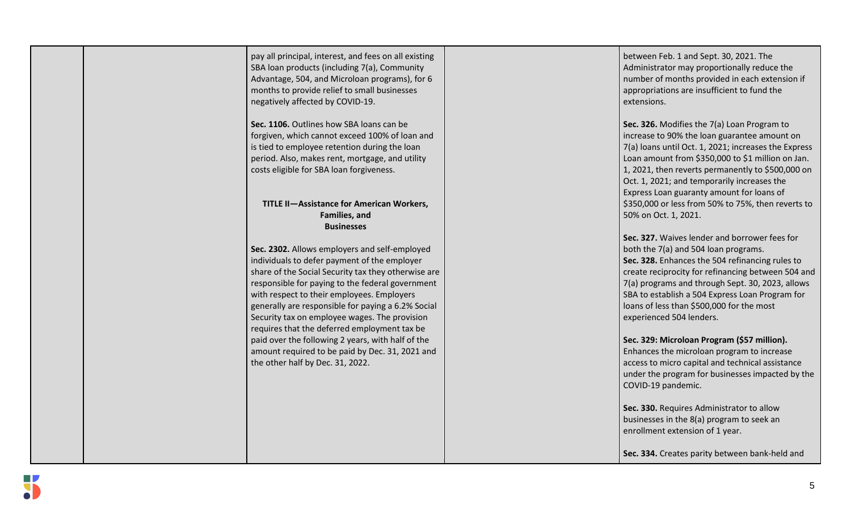| pay all principal, interest, and fees on all existing<br>SBA loan products (including 7(a), Community<br>Advantage, 504, and Microloan programs), for 6<br>months to provide relief to small businesses<br>negatively affected by COVID-19.                                                                                                                                                                   | between Feb. 1 and Sept. 30, 2021. The<br>Administrator may proportionally reduce the<br>number of months provided in each extension if<br>appropriations are insufficient to fund the<br>extensions.                                                                                                                                                                          |
|---------------------------------------------------------------------------------------------------------------------------------------------------------------------------------------------------------------------------------------------------------------------------------------------------------------------------------------------------------------------------------------------------------------|--------------------------------------------------------------------------------------------------------------------------------------------------------------------------------------------------------------------------------------------------------------------------------------------------------------------------------------------------------------------------------|
| Sec. 1106. Outlines how SBA loans can be<br>forgiven, which cannot exceed 100% of loan and<br>is tied to employee retention during the loan<br>period. Also, makes rent, mortgage, and utility<br>costs eligible for SBA loan forgiveness.                                                                                                                                                                    | Sec. 326. Modifies the 7(a) Loan Program to<br>increase to 90% the loan guarantee amount on<br>7(a) loans until Oct. 1, 2021; increases the Express<br>Loan amount from \$350,000 to \$1 million on Jan.<br>1, 2021, then reverts permanently to \$500,000 on<br>Oct. 1, 2021; and temporarily increases the                                                                   |
| TITLE II-Assistance for American Workers,<br>Families, and<br><b>Businesses</b>                                                                                                                                                                                                                                                                                                                               | Express Loan guaranty amount for loans of<br>\$350,000 or less from 50% to 75%, then reverts to<br>50% on Oct. 1, 2021.                                                                                                                                                                                                                                                        |
| Sec. 2302. Allows employers and self-employed<br>individuals to defer payment of the employer<br>share of the Social Security tax they otherwise are<br>responsible for paying to the federal government<br>with respect to their employees. Employers<br>generally are responsible for paying a 6.2% Social<br>Security tax on employee wages. The provision<br>requires that the deferred employment tax be | Sec. 327. Waives lender and borrower fees for<br>both the 7(a) and 504 loan programs.<br>Sec. 328. Enhances the 504 refinancing rules to<br>create reciprocity for refinancing between 504 and<br>7(a) programs and through Sept. 30, 2023, allows<br>SBA to establish a 504 Express Loan Program for<br>loans of less than \$500,000 for the most<br>experienced 504 lenders. |
| paid over the following 2 years, with half of the<br>amount required to be paid by Dec. 31, 2021 and<br>the other half by Dec. 31, 2022.                                                                                                                                                                                                                                                                      | Sec. 329: Microloan Program (\$57 million).<br>Enhances the microloan program to increase<br>access to micro capital and technical assistance<br>under the program for businesses impacted by the<br>COVID-19 pandemic.                                                                                                                                                        |
|                                                                                                                                                                                                                                                                                                                                                                                                               | Sec. 330. Requires Administrator to allow<br>businesses in the 8(a) program to seek an<br>enrollment extension of 1 year.                                                                                                                                                                                                                                                      |
|                                                                                                                                                                                                                                                                                                                                                                                                               | Sec. 334. Creates parity between bank-held and                                                                                                                                                                                                                                                                                                                                 |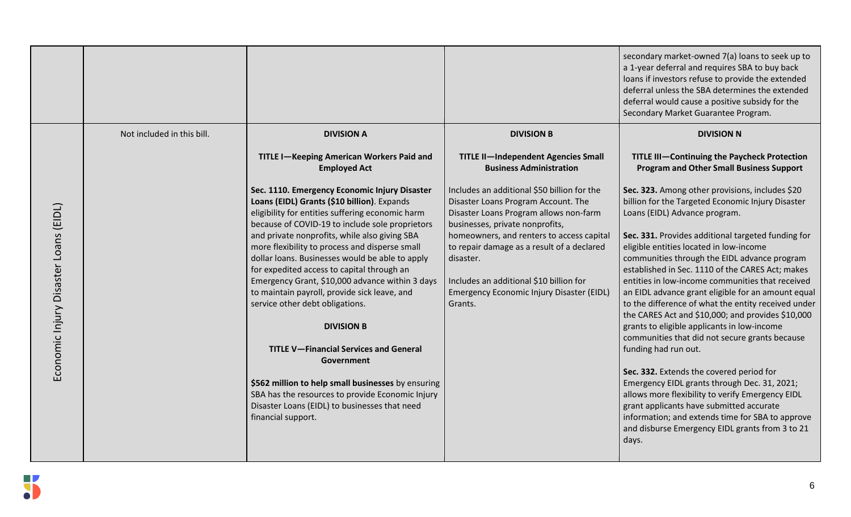|                                |                            |                                                                                                                                                                                                     |                                                                                                                                                                 | secondary market-owned 7(a) loans to seek up to<br>a 1-year deferral and requires SBA to buy back<br>loans if investors refuse to provide the extended<br>deferral unless the SBA determines the extended<br>deferral would cause a positive subsidy for the<br>Secondary Market Guarantee Program.      |
|--------------------------------|----------------------------|-----------------------------------------------------------------------------------------------------------------------------------------------------------------------------------------------------|-----------------------------------------------------------------------------------------------------------------------------------------------------------------|----------------------------------------------------------------------------------------------------------------------------------------------------------------------------------------------------------------------------------------------------------------------------------------------------------|
|                                | Not included in this bill. | <b>DIVISION A</b>                                                                                                                                                                                   | <b>DIVISION B</b>                                                                                                                                               | <b>DIVISION N</b>                                                                                                                                                                                                                                                                                        |
|                                |                            | TITLE I-Keeping American Workers Paid and<br><b>Employed Act</b>                                                                                                                                    | <b>TITLE II-Independent Agencies Small</b><br><b>Business Administration</b>                                                                                    | TITLE III-Continuing the Paycheck Protection<br><b>Program and Other Small Business Support</b>                                                                                                                                                                                                          |
| (EIDL)                         |                            | Sec. 1110. Emergency Economic Injury Disaster<br>Loans (EIDL) Grants (\$10 billion). Expands<br>eligibility for entities suffering economic harm<br>because of COVID-19 to include sole proprietors | Includes an additional \$50 billion for the<br>Disaster Loans Program Account. The<br>Disaster Loans Program allows non-farm<br>businesses, private nonprofits, | Sec. 323. Among other provisions, includes \$20<br>billion for the Targeted Economic Injury Disaster<br>Loans (EIDL) Advance program.                                                                                                                                                                    |
|                                |                            | and private nonprofits, while also giving SBA<br>more flexibility to process and disperse small<br>dollar loans. Businesses would be able to apply<br>for expedited access to capital through an    | homeowners, and renters to access capital<br>to repair damage as a result of a declared<br>disaster.                                                            | Sec. 331. Provides additional targeted funding for<br>eligible entities located in low-income<br>communities through the EIDL advance program<br>established in Sec. 1110 of the CARES Act; makes                                                                                                        |
| Economic Injury Disaster Loans |                            | Emergency Grant, \$10,000 advance within 3 days<br>to maintain payroll, provide sick leave, and<br>service other debt obligations.                                                                  | Includes an additional \$10 billion for<br>Emergency Economic Injury Disaster (EIDL)<br>Grants.                                                                 | entities in low-income communities that received<br>an EIDL advance grant eligible for an amount equal<br>to the difference of what the entity received under<br>the CARES Act and \$10,000; and provides \$10,000                                                                                       |
|                                |                            | <b>DIVISION B</b>                                                                                                                                                                                   |                                                                                                                                                                 | grants to eligible applicants in low-income<br>communities that did not secure grants because                                                                                                                                                                                                            |
|                                |                            | <b>TITLE V-Financial Services and General</b><br>Government                                                                                                                                         |                                                                                                                                                                 | funding had run out.                                                                                                                                                                                                                                                                                     |
|                                |                            | \$562 million to help small businesses by ensuring<br>SBA has the resources to provide Economic Injury<br>Disaster Loans (EIDL) to businesses that need<br>financial support.                       |                                                                                                                                                                 | Sec. 332. Extends the covered period for<br>Emergency EIDL grants through Dec. 31, 2021;<br>allows more flexibility to verify Emergency EIDL<br>grant applicants have submitted accurate<br>information; and extends time for SBA to approve<br>and disburse Emergency EIDL grants from 3 to 21<br>days. |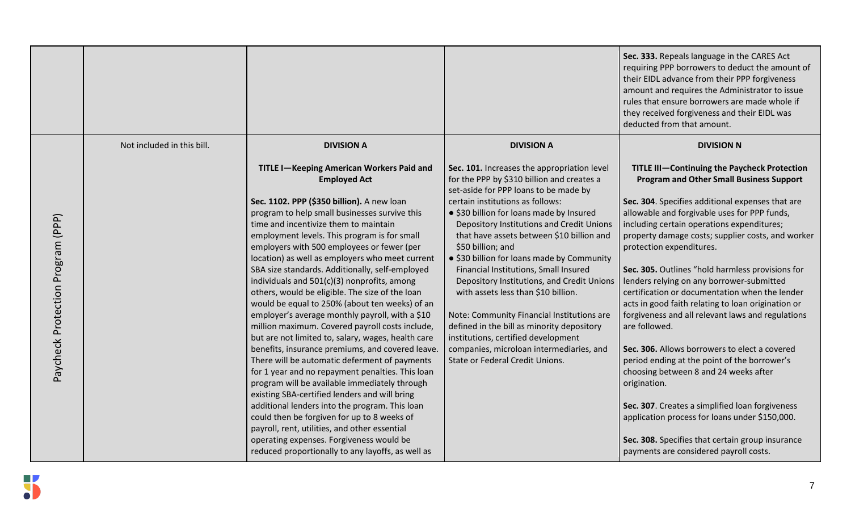|                                   |                            |                                                                                                    |                                                                                                                                    | Sec. 333. Repeals language in the CARES Act<br>requiring PPP borrowers to deduct the amount of<br>their EIDL advance from their PPP forgiveness<br>amount and requires the Administrator to issue<br>rules that ensure borrowers are made whole if<br>they received forgiveness and their EIDL was<br>deducted from that amount. |
|-----------------------------------|----------------------------|----------------------------------------------------------------------------------------------------|------------------------------------------------------------------------------------------------------------------------------------|----------------------------------------------------------------------------------------------------------------------------------------------------------------------------------------------------------------------------------------------------------------------------------------------------------------------------------|
|                                   | Not included in this bill. | <b>DIVISION A</b>                                                                                  | <b>DIVISION A</b>                                                                                                                  | <b>DIVISION N</b>                                                                                                                                                                                                                                                                                                                |
|                                   |                            | TITLE I-Keeping American Workers Paid and<br><b>Employed Act</b>                                   | Sec. 101. Increases the appropriation level<br>for the PPP by \$310 billion and creates a<br>set-aside for PPP loans to be made by | <b>TITLE III-Continuing the Paycheck Protection</b><br><b>Program and Other Small Business Support</b>                                                                                                                                                                                                                           |
|                                   |                            | Sec. 1102. PPP (\$350 billion). A new loan                                                         | certain institutions as follows:                                                                                                   | Sec. 304. Specifies additional expenses that are                                                                                                                                                                                                                                                                                 |
|                                   |                            | program to help small businesses survive this                                                      | · \$30 billion for loans made by Insured                                                                                           | allowable and forgivable uses for PPP funds,                                                                                                                                                                                                                                                                                     |
|                                   |                            | time and incentivize them to maintain                                                              | Depository Institutions and Credit Unions                                                                                          | including certain operations expenditures;                                                                                                                                                                                                                                                                                       |
| Paycheck Protection Program (PPP) |                            | employment levels. This program is for small                                                       | that have assets between \$10 billion and                                                                                          | property damage costs; supplier costs, and worker                                                                                                                                                                                                                                                                                |
|                                   |                            | employers with 500 employees or fewer (per                                                         | \$50 billion; and                                                                                                                  | protection expenditures.                                                                                                                                                                                                                                                                                                         |
|                                   |                            | location) as well as employers who meet current<br>SBA size standards. Additionally, self-employed | • \$30 billion for loans made by Community<br>Financial Institutions, Small Insured                                                | Sec. 305. Outlines "hold harmless provisions for                                                                                                                                                                                                                                                                                 |
|                                   |                            | individuals and 501(c)(3) nonprofits, among                                                        | Depository Institutions, and Credit Unions                                                                                         | lenders relying on any borrower-submitted                                                                                                                                                                                                                                                                                        |
|                                   |                            | others, would be eligible. The size of the loan                                                    | with assets less than \$10 billion.                                                                                                | certification or documentation when the lender                                                                                                                                                                                                                                                                                   |
|                                   |                            | would be equal to 250% (about ten weeks) of an                                                     |                                                                                                                                    | acts in good faith relating to loan origination or                                                                                                                                                                                                                                                                               |
|                                   |                            | employer's average monthly payroll, with a \$10                                                    | Note: Community Financial Institutions are                                                                                         | forgiveness and all relevant laws and regulations                                                                                                                                                                                                                                                                                |
|                                   |                            | million maximum. Covered payroll costs include,                                                    | defined in the bill as minority depository                                                                                         | are followed.                                                                                                                                                                                                                                                                                                                    |
|                                   |                            | but are not limited to, salary, wages, health care                                                 | institutions, certified development                                                                                                |                                                                                                                                                                                                                                                                                                                                  |
|                                   |                            | benefits, insurance premiums, and covered leave.                                                   | companies, microloan intermediaries, and<br>State or Federal Credit Unions.                                                        | Sec. 306. Allows borrowers to elect a covered                                                                                                                                                                                                                                                                                    |
|                                   |                            | There will be automatic deferment of payments<br>for 1 year and no repayment penalties. This loan  |                                                                                                                                    | period ending at the point of the borrower's<br>choosing between 8 and 24 weeks after                                                                                                                                                                                                                                            |
|                                   |                            | program will be available immediately through                                                      |                                                                                                                                    | origination.                                                                                                                                                                                                                                                                                                                     |
|                                   |                            | existing SBA-certified lenders and will bring                                                      |                                                                                                                                    |                                                                                                                                                                                                                                                                                                                                  |
|                                   |                            | additional lenders into the program. This loan                                                     |                                                                                                                                    | Sec. 307. Creates a simplified loan forgiveness                                                                                                                                                                                                                                                                                  |
|                                   |                            | could then be forgiven for up to 8 weeks of                                                        |                                                                                                                                    | application process for loans under \$150,000.                                                                                                                                                                                                                                                                                   |
|                                   |                            | payroll, rent, utilities, and other essential                                                      |                                                                                                                                    |                                                                                                                                                                                                                                                                                                                                  |
|                                   |                            | operating expenses. Forgiveness would be                                                           |                                                                                                                                    | Sec. 308. Specifies that certain group insurance                                                                                                                                                                                                                                                                                 |
|                                   |                            | reduced proportionally to any layoffs, as well as                                                  |                                                                                                                                    | payments are considered payroll costs.                                                                                                                                                                                                                                                                                           |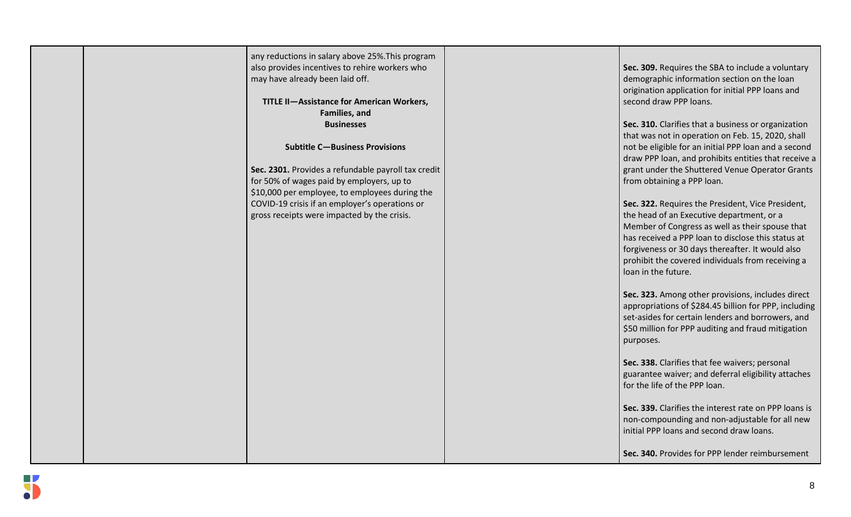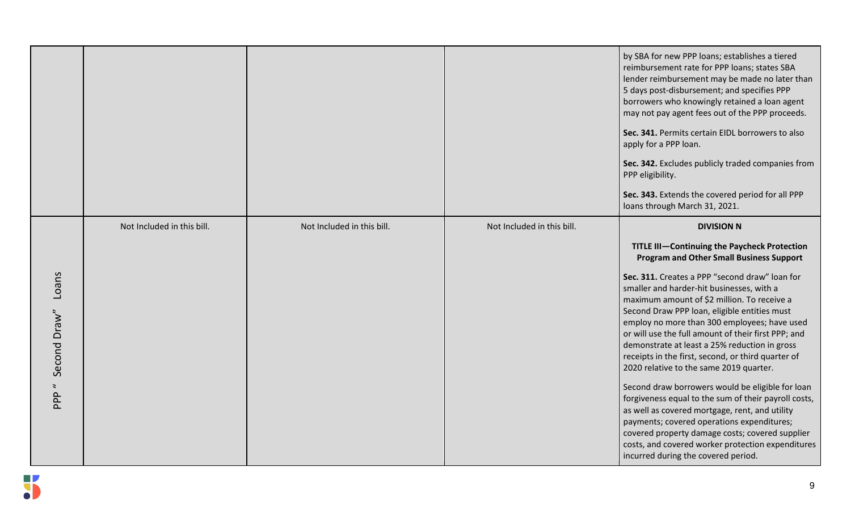|                                                      |                            |                            |                            | by SBA for new PPP loans; establishes a tiered<br>reimbursement rate for PPP loans; states SBA<br>lender reimbursement may be made no later than<br>5 days post-disbursement; and specifies PPP<br>borrowers who knowingly retained a loan agent<br>may not pay agent fees out of the PPP proceeds.<br>Sec. 341. Permits certain EIDL borrowers to also<br>apply for a PPP loan.<br>Sec. 342. Excludes publicly traded companies from<br>PPP eligibility.<br>Sec. 343. Extends the covered period for all PPP<br>loans through March 31, 2021.                                                                                                                                                                                                                                                                                                                                                                                         |
|------------------------------------------------------|----------------------------|----------------------------|----------------------------|----------------------------------------------------------------------------------------------------------------------------------------------------------------------------------------------------------------------------------------------------------------------------------------------------------------------------------------------------------------------------------------------------------------------------------------------------------------------------------------------------------------------------------------------------------------------------------------------------------------------------------------------------------------------------------------------------------------------------------------------------------------------------------------------------------------------------------------------------------------------------------------------------------------------------------------|
| Loans<br>Second Draw"<br>$\ddot{\phantom{0}}$<br>PPP | Not Included in this bill. | Not Included in this bill. | Not Included in this bill. | <b>DIVISION N</b><br>TITLE III-Continuing the Paycheck Protection<br><b>Program and Other Small Business Support</b><br>Sec. 311. Creates a PPP "second draw" loan for<br>smaller and harder-hit businesses, with a<br>maximum amount of \$2 million. To receive a<br>Second Draw PPP loan, eligible entities must<br>employ no more than 300 employees; have used<br>or will use the full amount of their first PPP; and<br>demonstrate at least a 25% reduction in gross<br>receipts in the first, second, or third quarter of<br>2020 relative to the same 2019 quarter.<br>Second draw borrowers would be eligible for loan<br>forgiveness equal to the sum of their payroll costs,<br>as well as covered mortgage, rent, and utility<br>payments; covered operations expenditures;<br>covered property damage costs; covered supplier<br>costs, and covered worker protection expenditures<br>incurred during the covered period. |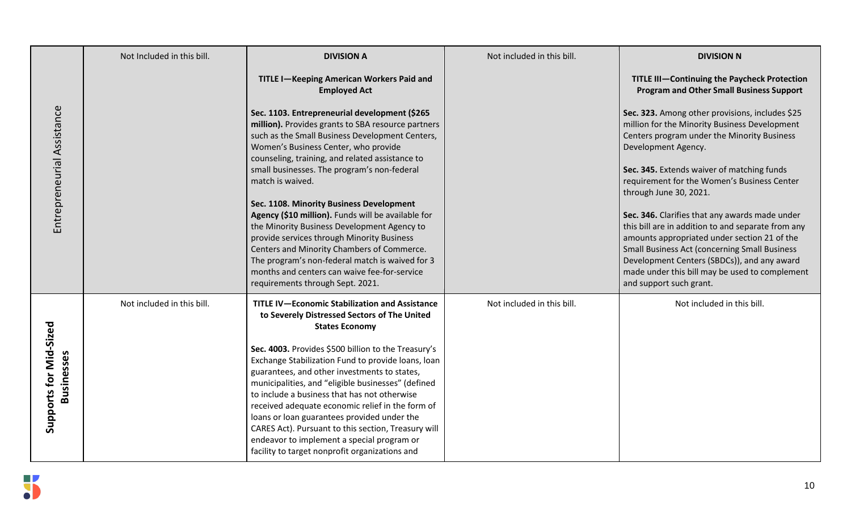|                                             | Not Included in this bill. | <b>DIVISION A</b>                                                                                                                                                                                                                                                                                                                                                                                                                                                                                                         | Not included in this bill. | <b>DIVISION N</b>                                                                                                                                                                                                                                                                                                                        |
|---------------------------------------------|----------------------------|---------------------------------------------------------------------------------------------------------------------------------------------------------------------------------------------------------------------------------------------------------------------------------------------------------------------------------------------------------------------------------------------------------------------------------------------------------------------------------------------------------------------------|----------------------------|------------------------------------------------------------------------------------------------------------------------------------------------------------------------------------------------------------------------------------------------------------------------------------------------------------------------------------------|
|                                             |                            | <b>TITLE I-Keeping American Workers Paid and</b><br><b>Employed Act</b>                                                                                                                                                                                                                                                                                                                                                                                                                                                   |                            | <b>TITLE III-Continuing the Paycheck Protection</b><br><b>Program and Other Small Business Support</b>                                                                                                                                                                                                                                   |
| Entrepreneurial Assistance                  |                            | Sec. 1103. Entrepreneurial development (\$265<br>million). Provides grants to SBA resource partners<br>such as the Small Business Development Centers,<br>Women's Business Center, who provide<br>counseling, training, and related assistance to                                                                                                                                                                                                                                                                         |                            | Sec. 323. Among other provisions, includes \$25<br>million for the Minority Business Development<br>Centers program under the Minority Business<br>Development Agency.                                                                                                                                                                   |
|                                             |                            | small businesses. The program's non-federal<br>match is waived.                                                                                                                                                                                                                                                                                                                                                                                                                                                           |                            | Sec. 345. Extends waiver of matching funds<br>requirement for the Women's Business Center<br>through June 30, 2021.                                                                                                                                                                                                                      |
|                                             |                            | Sec. 1108. Minority Business Development<br>Agency (\$10 million). Funds will be available for<br>the Minority Business Development Agency to<br>provide services through Minority Business<br>Centers and Minority Chambers of Commerce.<br>The program's non-federal match is waived for 3<br>months and centers can waive fee-for-service<br>requirements through Sept. 2021.                                                                                                                                          |                            | Sec. 346. Clarifies that any awards made under<br>this bill are in addition to and separate from any<br>amounts appropriated under section 21 of the<br><b>Small Business Act (concerning Small Business</b><br>Development Centers (SBDCs)), and any award<br>made under this bill may be used to complement<br>and support such grant. |
|                                             | Not included in this bill. | <b>TITLE IV-Economic Stabilization and Assistance</b><br>to Severely Distressed Sectors of The United<br><b>States Economy</b>                                                                                                                                                                                                                                                                                                                                                                                            | Not included in this bill. | Not included in this bill.                                                                                                                                                                                                                                                                                                               |
| Supports for Mid-Sized<br><b>Businesses</b> |                            | Sec. 4003. Provides \$500 billion to the Treasury's<br>Exchange Stabilization Fund to provide loans, loan<br>guarantees, and other investments to states,<br>municipalities, and "eligible businesses" (defined<br>to include a business that has not otherwise<br>received adequate economic relief in the form of<br>loans or loan guarantees provided under the<br>CARES Act). Pursuant to this section, Treasury will<br>endeavor to implement a special program or<br>facility to target nonprofit organizations and |                            |                                                                                                                                                                                                                                                                                                                                          |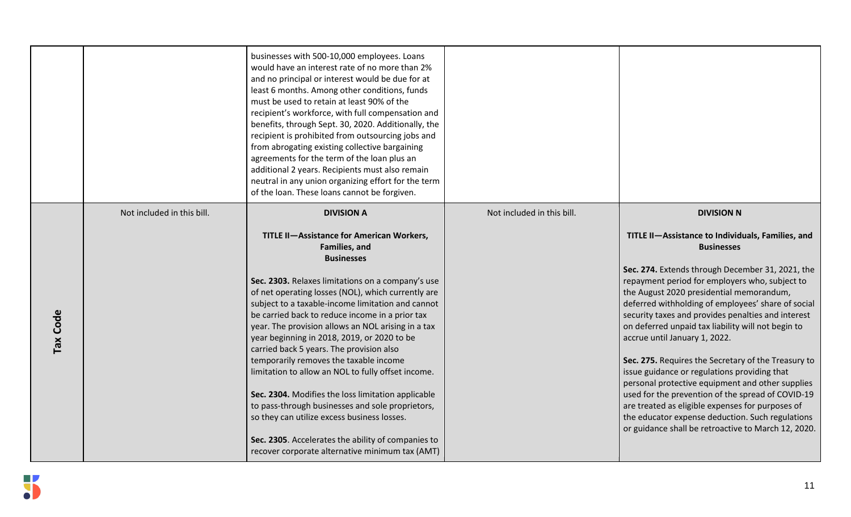|          |                            | businesses with 500-10,000 employees. Loans<br>would have an interest rate of no more than 2%<br>and no principal or interest would be due for at<br>least 6 months. Among other conditions, funds<br>must be used to retain at least 90% of the<br>recipient's workforce, with full compensation and<br>benefits, through Sept. 30, 2020. Additionally, the<br>recipient is prohibited from outsourcing jobs and<br>from abrogating existing collective bargaining<br>agreements for the term of the loan plus an<br>additional 2 years. Recipients must also remain<br>neutral in any union organizing effort for the term<br>of the loan. These loans cannot be forgiven.                                                                                                                                                                      |                            |                                                                                                                                                                                                                                                                                                                                                                                                                                                                                                                                                                                                                                                                                                                                                                                                                                 |
|----------|----------------------------|---------------------------------------------------------------------------------------------------------------------------------------------------------------------------------------------------------------------------------------------------------------------------------------------------------------------------------------------------------------------------------------------------------------------------------------------------------------------------------------------------------------------------------------------------------------------------------------------------------------------------------------------------------------------------------------------------------------------------------------------------------------------------------------------------------------------------------------------------|----------------------------|---------------------------------------------------------------------------------------------------------------------------------------------------------------------------------------------------------------------------------------------------------------------------------------------------------------------------------------------------------------------------------------------------------------------------------------------------------------------------------------------------------------------------------------------------------------------------------------------------------------------------------------------------------------------------------------------------------------------------------------------------------------------------------------------------------------------------------|
| Tax Code | Not included in this bill. | <b>DIVISION A</b><br><b>TITLE II-Assistance for American Workers,</b><br>Families, and<br><b>Businesses</b><br>Sec. 2303. Relaxes limitations on a company's use<br>of net operating losses (NOL), which currently are<br>subject to a taxable-income limitation and cannot<br>be carried back to reduce income in a prior tax<br>year. The provision allows an NOL arising in a tax<br>year beginning in 2018, 2019, or 2020 to be<br>carried back 5 years. The provision also<br>temporarily removes the taxable income<br>limitation to allow an NOL to fully offset income.<br>Sec. 2304. Modifies the loss limitation applicable<br>to pass-through businesses and sole proprietors,<br>so they can utilize excess business losses.<br>Sec. 2305. Accelerates the ability of companies to<br>recover corporate alternative minimum tax (AMT) | Not included in this bill. | <b>DIVISION N</b><br>TITLE II-Assistance to Individuals, Families, and<br><b>Businesses</b><br>Sec. 274. Extends through December 31, 2021, the<br>repayment period for employers who, subject to<br>the August 2020 presidential memorandum,<br>deferred withholding of employees' share of social<br>security taxes and provides penalties and interest<br>on deferred unpaid tax liability will not begin to<br>accrue until January 1, 2022.<br>Sec. 275. Requires the Secretary of the Treasury to<br>issue guidance or regulations providing that<br>personal protective equipment and other supplies<br>used for the prevention of the spread of COVID-19<br>are treated as eligible expenses for purposes of<br>the educator expense deduction. Such regulations<br>or guidance shall be retroactive to March 12, 2020. |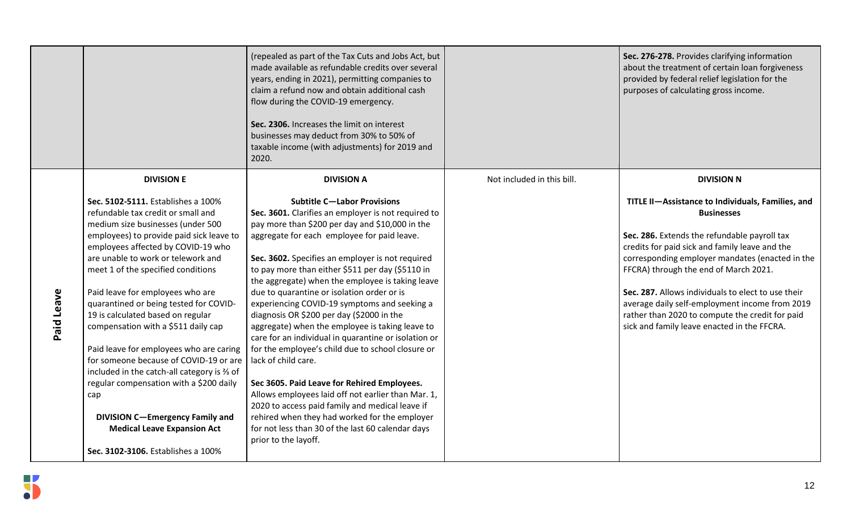|            |                                                                         | (repealed as part of the Tax Cuts and Jobs Act, but<br>made available as refundable credits over several<br>years, ending in 2021), permitting companies to<br>claim a refund now and obtain additional cash<br>flow during the COVID-19 emergency.<br>Sec. 2306. Increases the limit on interest<br>businesses may deduct from 30% to 50% of<br>taxable income (with adjustments) for 2019 and<br>2020. |                            | Sec. 276-278. Provides clarifying information<br>about the treatment of certain loan forgiveness<br>provided by federal relief legislation for the<br>purposes of calculating gross income. |
|------------|-------------------------------------------------------------------------|----------------------------------------------------------------------------------------------------------------------------------------------------------------------------------------------------------------------------------------------------------------------------------------------------------------------------------------------------------------------------------------------------------|----------------------------|---------------------------------------------------------------------------------------------------------------------------------------------------------------------------------------------|
|            | <b>DIVISION E</b>                                                       | <b>DIVISION A</b>                                                                                                                                                                                                                                                                                                                                                                                        | Not included in this bill. | <b>DIVISION N</b>                                                                                                                                                                           |
|            | Sec. 5102-5111. Establishes a 100%                                      | <b>Subtitle C-Labor Provisions</b>                                                                                                                                                                                                                                                                                                                                                                       |                            | TITLE II-Assistance to Individuals, Families, and                                                                                                                                           |
|            | refundable tax credit or small and<br>medium size businesses (under 500 | Sec. 3601. Clarifies an employer is not required to<br>pay more than \$200 per day and \$10,000 in the                                                                                                                                                                                                                                                                                                   |                            | <b>Businesses</b>                                                                                                                                                                           |
|            | employees) to provide paid sick leave to                                | aggregate for each employee for paid leave.                                                                                                                                                                                                                                                                                                                                                              |                            | Sec. 286. Extends the refundable payroll tax                                                                                                                                                |
|            | employees affected by COVID-19 who                                      |                                                                                                                                                                                                                                                                                                                                                                                                          |                            | credits for paid sick and family leave and the                                                                                                                                              |
|            | are unable to work or telework and                                      | Sec. 3602. Specifies an employer is not required                                                                                                                                                                                                                                                                                                                                                         |                            | corresponding employer mandates (enacted in the                                                                                                                                             |
|            | meet 1 of the specified conditions                                      | to pay more than either \$511 per day (\$5110 in<br>the aggregate) when the employee is taking leave                                                                                                                                                                                                                                                                                                     |                            | FFCRA) through the end of March 2021.                                                                                                                                                       |
|            | Paid leave for employees who are                                        | due to quarantine or isolation order or is                                                                                                                                                                                                                                                                                                                                                               |                            | Sec. 287. Allows individuals to elect to use their                                                                                                                                          |
|            | quarantined or being tested for COVID-                                  | experiencing COVID-19 symptoms and seeking a                                                                                                                                                                                                                                                                                                                                                             |                            | average daily self-employment income from 2019                                                                                                                                              |
|            | 19 is calculated based on regular                                       | diagnosis OR \$200 per day (\$2000 in the                                                                                                                                                                                                                                                                                                                                                                |                            | rather than 2020 to compute the credit for paid                                                                                                                                             |
| Paid Leave | compensation with a \$511 daily cap                                     | aggregate) when the employee is taking leave to<br>care for an individual in quarantine or isolation or                                                                                                                                                                                                                                                                                                  |                            | sick and family leave enacted in the FFCRA.                                                                                                                                                 |
|            | Paid leave for employees who are caring                                 | for the employee's child due to school closure or                                                                                                                                                                                                                                                                                                                                                        |                            |                                                                                                                                                                                             |
|            | for someone because of COVID-19 or are                                  | lack of child care.                                                                                                                                                                                                                                                                                                                                                                                      |                            |                                                                                                                                                                                             |
|            | included in the catch-all category is % of                              |                                                                                                                                                                                                                                                                                                                                                                                                          |                            |                                                                                                                                                                                             |
|            | regular compensation with a \$200 daily                                 | Sec 3605. Paid Leave for Rehired Employees.<br>Allows employees laid off not earlier than Mar. 1,                                                                                                                                                                                                                                                                                                        |                            |                                                                                                                                                                                             |
|            | cap                                                                     | 2020 to access paid family and medical leave if                                                                                                                                                                                                                                                                                                                                                          |                            |                                                                                                                                                                                             |
|            | <b>DIVISION C-Emergency Family and</b>                                  | rehired when they had worked for the employer                                                                                                                                                                                                                                                                                                                                                            |                            |                                                                                                                                                                                             |
|            | <b>Medical Leave Expansion Act</b>                                      | for not less than 30 of the last 60 calendar days                                                                                                                                                                                                                                                                                                                                                        |                            |                                                                                                                                                                                             |
|            | Sec. 3102-3106. Establishes a 100%                                      | prior to the layoff.                                                                                                                                                                                                                                                                                                                                                                                     |                            |                                                                                                                                                                                             |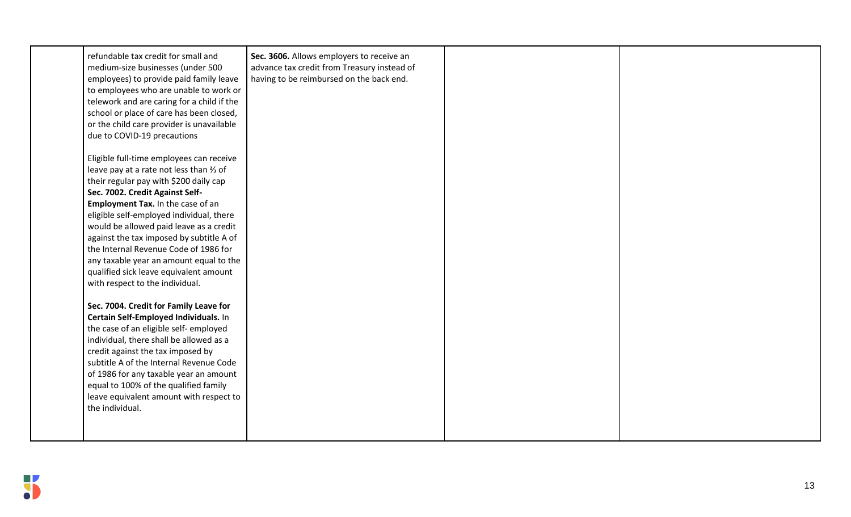| refundable tax credit for small and<br>medium-size businesses (under 500<br>employees) to provide paid family leave<br>to employees who are unable to work or<br>telework and are caring for a child if the<br>school or place of care has been closed,<br>or the child care provider is unavailable<br>due to COVID-19 precautions                                                                                                                                                                      | Sec. 3606. Allows employers to receive an<br>advance tax credit from Treasury instead of<br>having to be reimbursed on the back end. |  |
|----------------------------------------------------------------------------------------------------------------------------------------------------------------------------------------------------------------------------------------------------------------------------------------------------------------------------------------------------------------------------------------------------------------------------------------------------------------------------------------------------------|--------------------------------------------------------------------------------------------------------------------------------------|--|
| Eligible full-time employees can receive<br>leave pay at a rate not less than % of<br>their regular pay with \$200 daily cap<br>Sec. 7002. Credit Against Self-<br>Employment Tax. In the case of an<br>eligible self-employed individual, there<br>would be allowed paid leave as a credit<br>against the tax imposed by subtitle A of<br>the Internal Revenue Code of 1986 for<br>any taxable year an amount equal to the<br>qualified sick leave equivalent amount<br>with respect to the individual. |                                                                                                                                      |  |
| Sec. 7004. Credit for Family Leave for<br>Certain Self-Employed Individuals. In<br>the case of an eligible self-employed<br>individual, there shall be allowed as a<br>credit against the tax imposed by<br>subtitle A of the Internal Revenue Code<br>of 1986 for any taxable year an amount<br>equal to 100% of the qualified family<br>leave equivalent amount with respect to<br>the individual.                                                                                                     |                                                                                                                                      |  |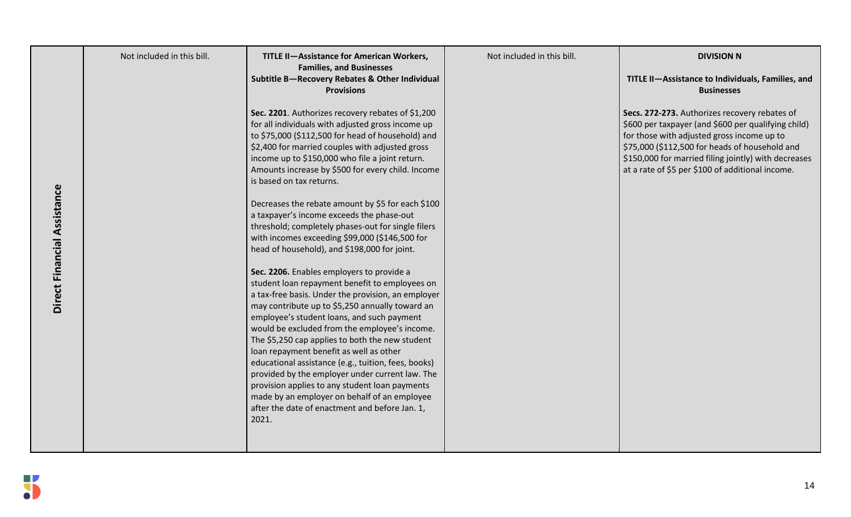|                             | Not included in this bill. | <b>TITLE II-Assistance for American Workers,</b><br><b>Families, and Businesses</b>                                                                                                                                                                                                                                                                                                                                                                                                                                                                                                                           | Not included in this bill. | <b>DIVISION N</b>                                                                                                                                                                                                                                                                                                |
|-----------------------------|----------------------------|---------------------------------------------------------------------------------------------------------------------------------------------------------------------------------------------------------------------------------------------------------------------------------------------------------------------------------------------------------------------------------------------------------------------------------------------------------------------------------------------------------------------------------------------------------------------------------------------------------------|----------------------------|------------------------------------------------------------------------------------------------------------------------------------------------------------------------------------------------------------------------------------------------------------------------------------------------------------------|
|                             |                            | Subtitle B-Recovery Rebates & Other Individual<br><b>Provisions</b>                                                                                                                                                                                                                                                                                                                                                                                                                                                                                                                                           |                            | TITLE II-Assistance to Individuals, Families, and<br><b>Businesses</b>                                                                                                                                                                                                                                           |
|                             |                            | Sec. 2201. Authorizes recovery rebates of \$1,200<br>for all individuals with adjusted gross income up<br>to \$75,000 (\$112,500 for head of household) and<br>\$2,400 for married couples with adjusted gross<br>income up to \$150,000 who file a joint return.<br>Amounts increase by \$500 for every child. Income<br>is based on tax returns.                                                                                                                                                                                                                                                            |                            | Secs. 272-273. Authorizes recovery rebates of<br>\$600 per taxpayer (and \$600 per qualifying child)<br>for those with adjusted gross income up to<br>\$75,000 (\$112,500 for heads of household and<br>\$150,000 for married filing jointly) with decreases<br>at a rate of \$5 per \$100 of additional income. |
| Direct Financial Assistance |                            | Decreases the rebate amount by \$5 for each \$100<br>a taxpayer's income exceeds the phase-out<br>threshold; completely phases-out for single filers<br>with incomes exceeding \$99,000 (\$146,500 for<br>head of household), and \$198,000 for joint.                                                                                                                                                                                                                                                                                                                                                        |                            |                                                                                                                                                                                                                                                                                                                  |
|                             |                            | Sec. 2206. Enables employers to provide a<br>student loan repayment benefit to employees on<br>a tax-free basis. Under the provision, an employer<br>may contribute up to \$5,250 annually toward an<br>employee's student loans, and such payment<br>would be excluded from the employee's income.<br>The \$5,250 cap applies to both the new student<br>loan repayment benefit as well as other<br>educational assistance (e.g., tuition, fees, books)<br>provided by the employer under current law. The<br>provision applies to any student loan payments<br>made by an employer on behalf of an employee |                            |                                                                                                                                                                                                                                                                                                                  |
|                             |                            | after the date of enactment and before Jan. 1,<br>2021.                                                                                                                                                                                                                                                                                                                                                                                                                                                                                                                                                       |                            |                                                                                                                                                                                                                                                                                                                  |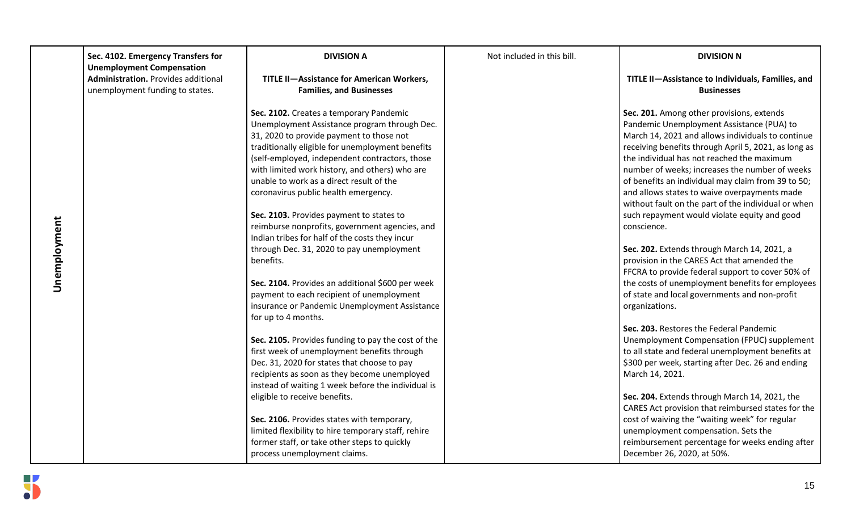|              | Sec. 4102. Emergency Transfers for<br><b>Unemployment Compensation</b>        | <b>DIVISION A</b>                                                                                                                                                                                                                                                                                                                                                                                                                                                                                                                                                                                                                                                                                                                                                  | Not included in this bill. | <b>DIVISION N</b>                                                                                                                                                                                                                                                                                                                                                                                                                                                                                                                                                                                                                                                                                                                                                                                        |
|--------------|-------------------------------------------------------------------------------|--------------------------------------------------------------------------------------------------------------------------------------------------------------------------------------------------------------------------------------------------------------------------------------------------------------------------------------------------------------------------------------------------------------------------------------------------------------------------------------------------------------------------------------------------------------------------------------------------------------------------------------------------------------------------------------------------------------------------------------------------------------------|----------------------------|----------------------------------------------------------------------------------------------------------------------------------------------------------------------------------------------------------------------------------------------------------------------------------------------------------------------------------------------------------------------------------------------------------------------------------------------------------------------------------------------------------------------------------------------------------------------------------------------------------------------------------------------------------------------------------------------------------------------------------------------------------------------------------------------------------|
|              | <b>Administration.</b> Provides additional<br>unemployment funding to states. | TITLE II-Assistance for American Workers,<br><b>Families, and Businesses</b>                                                                                                                                                                                                                                                                                                                                                                                                                                                                                                                                                                                                                                                                                       |                            | TITLE II-Assistance to Individuals, Families, and<br><b>Businesses</b>                                                                                                                                                                                                                                                                                                                                                                                                                                                                                                                                                                                                                                                                                                                                   |
| Unemployment |                                                                               | Sec. 2102. Creates a temporary Pandemic<br>Unemployment Assistance program through Dec.<br>31, 2020 to provide payment to those not<br>traditionally eligible for unemployment benefits<br>(self-employed, independent contractors, those<br>with limited work history, and others) who are<br>unable to work as a direct result of the<br>coronavirus public health emergency.<br>Sec. 2103. Provides payment to states to<br>reimburse nonprofits, government agencies, and<br>Indian tribes for half of the costs they incur<br>through Dec. 31, 2020 to pay unemployment<br>benefits.<br>Sec. 2104. Provides an additional \$600 per week<br>payment to each recipient of unemployment<br>insurance or Pandemic Unemployment Assistance<br>for up to 4 months. |                            | Sec. 201. Among other provisions, extends<br>Pandemic Unemployment Assistance (PUA) to<br>March 14, 2021 and allows individuals to continue<br>receiving benefits through April 5, 2021, as long as<br>the individual has not reached the maximum<br>number of weeks; increases the number of weeks<br>of benefits an individual may claim from 39 to 50;<br>and allows states to waive overpayments made<br>without fault on the part of the individual or when<br>such repayment would violate equity and good<br>conscience.<br>Sec. 202. Extends through March 14, 2021, a<br>provision in the CARES Act that amended the<br>FFCRA to provide federal support to cover 50% of<br>the costs of unemployment benefits for employees<br>of state and local governments and non-profit<br>organizations. |
|              |                                                                               | Sec. 2105. Provides funding to pay the cost of the<br>first week of unemployment benefits through<br>Dec. 31, 2020 for states that choose to pay<br>recipients as soon as they become unemployed<br>instead of waiting 1 week before the individual is<br>eligible to receive benefits.<br>Sec. 2106. Provides states with temporary,<br>limited flexibility to hire temporary staff, rehire<br>former staff, or take other steps to quickly<br>process unemployment claims.                                                                                                                                                                                                                                                                                       |                            | Sec. 203. Restores the Federal Pandemic<br>Unemployment Compensation (FPUC) supplement<br>to all state and federal unemployment benefits at<br>\$300 per week, starting after Dec. 26 and ending<br>March 14, 2021.<br>Sec. 204. Extends through March 14, 2021, the<br>CARES Act provision that reimbursed states for the<br>cost of waiving the "waiting week" for regular<br>unemployment compensation. Sets the<br>reimbursement percentage for weeks ending after<br>December 26, 2020, at 50%.                                                                                                                                                                                                                                                                                                     |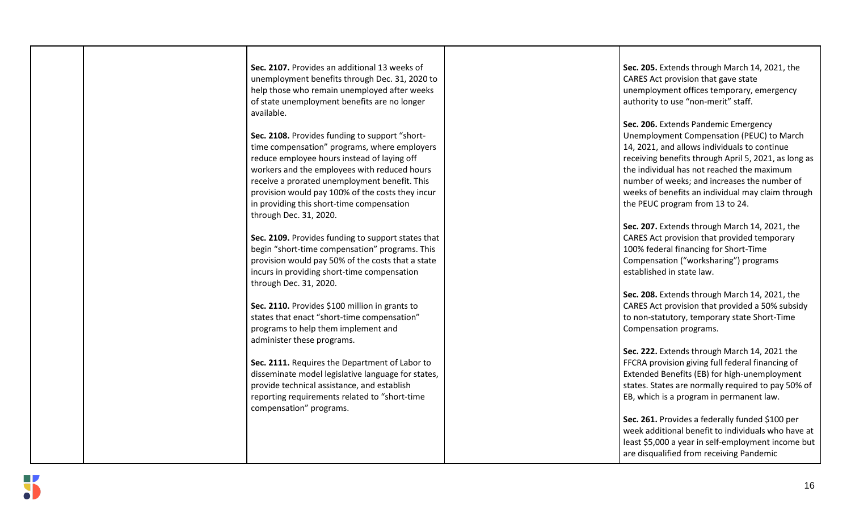| Sec. 2107. Provides an additional 13 weeks of<br>unemployment benefits through Dec. 31, 2020 to<br>help those who remain unemployed after weeks | Sec. 205. Extends through March 14, 2021, the<br>CARES Act provision that gave state<br>unemployment offices temporary, emergency |
|-------------------------------------------------------------------------------------------------------------------------------------------------|-----------------------------------------------------------------------------------------------------------------------------------|
| of state unemployment benefits are no longer<br>available.                                                                                      | authority to use "non-merit" staff.                                                                                               |
|                                                                                                                                                 | Sec. 206. Extends Pandemic Emergency                                                                                              |
| Sec. 2108. Provides funding to support "short-                                                                                                  | Unemployment Compensation (PEUC) to March                                                                                         |
| time compensation" programs, where employers                                                                                                    | 14, 2021, and allows individuals to continue                                                                                      |
| reduce employee hours instead of laying off                                                                                                     | receiving benefits through April 5, 2021, as long as                                                                              |
| workers and the employees with reduced hours                                                                                                    | the individual has not reached the maximum                                                                                        |
| receive a prorated unemployment benefit. This<br>provision would pay 100% of the costs they incur                                               | number of weeks; and increases the number of<br>weeks of benefits an individual may claim through                                 |
| in providing this short-time compensation                                                                                                       | the PEUC program from 13 to 24.                                                                                                   |
| through Dec. 31, 2020.                                                                                                                          |                                                                                                                                   |
|                                                                                                                                                 | Sec. 207. Extends through March 14, 2021, the                                                                                     |
| Sec. 2109. Provides funding to support states that                                                                                              | CARES Act provision that provided temporary                                                                                       |
| begin "short-time compensation" programs. This                                                                                                  | 100% federal financing for Short-Time                                                                                             |
| provision would pay 50% of the costs that a state                                                                                               | Compensation ("worksharing") programs                                                                                             |
| incurs in providing short-time compensation                                                                                                     | established in state law.                                                                                                         |
| through Dec. 31, 2020.                                                                                                                          |                                                                                                                                   |
|                                                                                                                                                 | Sec. 208. Extends through March 14, 2021, the                                                                                     |
| Sec. 2110. Provides \$100 million in grants to                                                                                                  | CARES Act provision that provided a 50% subsidy                                                                                   |
| states that enact "short-time compensation"<br>programs to help them implement and                                                              | to non-statutory, temporary state Short-Time<br>Compensation programs.                                                            |
| administer these programs.                                                                                                                      |                                                                                                                                   |
|                                                                                                                                                 | Sec. 222. Extends through March 14, 2021 the                                                                                      |
| Sec. 2111. Requires the Department of Labor to                                                                                                  | FFCRA provision giving full federal financing of                                                                                  |
| disseminate model legislative language for states,                                                                                              | Extended Benefits (EB) for high-unemployment                                                                                      |
| provide technical assistance, and establish                                                                                                     | states. States are normally required to pay 50% of                                                                                |
| reporting requirements related to "short-time                                                                                                   | EB, which is a program in permanent law.                                                                                          |
| compensation" programs.                                                                                                                         |                                                                                                                                   |
|                                                                                                                                                 | Sec. 261. Provides a federally funded \$100 per                                                                                   |
|                                                                                                                                                 | week additional benefit to individuals who have at                                                                                |
|                                                                                                                                                 | least \$5,000 a year in self-employment income but                                                                                |
|                                                                                                                                                 | are disqualified from receiving Pandemic                                                                                          |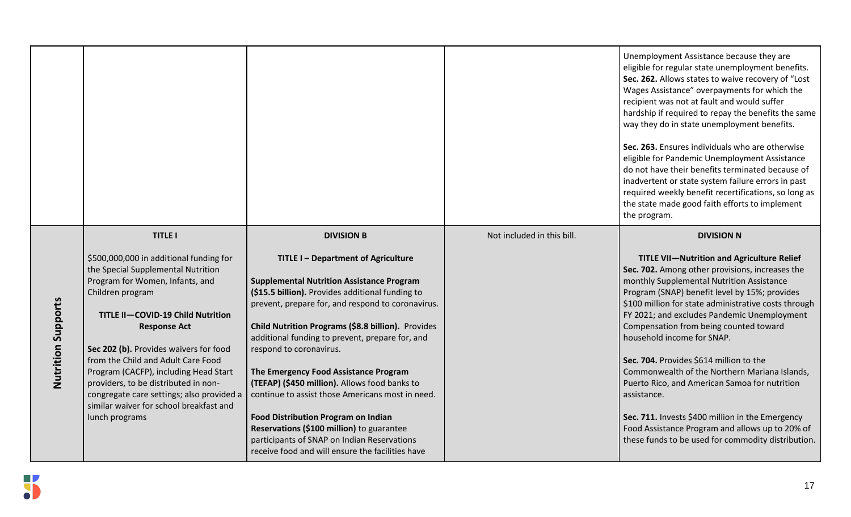|                           |                                                                                                                                                                                                                                                                                                                                                                                                                                                                             |                                                                                                                                                                                                                                                                                                                                                                                                                                                                                                                                                                                                                                                                                  |                            | Unemployment Assistance because they are<br>eligible for regular state unemployment benefits.<br>Sec. 262. Allows states to waive recovery of "Lost<br>Wages Assistance" overpayments for which the<br>recipient was not at fault and would suffer<br>hardship if required to repay the benefits the same<br>way they do in state unemployment benefits.<br>Sec. 263. Ensures individuals who are otherwise<br>eligible for Pandemic Unemployment Assistance<br>do not have their benefits terminated because of<br>inadvertent or state system failure errors in past<br>required weekly benefit recertifications, so long as<br>the state made good faith efforts to implement<br>the program.           |
|---------------------------|-----------------------------------------------------------------------------------------------------------------------------------------------------------------------------------------------------------------------------------------------------------------------------------------------------------------------------------------------------------------------------------------------------------------------------------------------------------------------------|----------------------------------------------------------------------------------------------------------------------------------------------------------------------------------------------------------------------------------------------------------------------------------------------------------------------------------------------------------------------------------------------------------------------------------------------------------------------------------------------------------------------------------------------------------------------------------------------------------------------------------------------------------------------------------|----------------------------|------------------------------------------------------------------------------------------------------------------------------------------------------------------------------------------------------------------------------------------------------------------------------------------------------------------------------------------------------------------------------------------------------------------------------------------------------------------------------------------------------------------------------------------------------------------------------------------------------------------------------------------------------------------------------------------------------------|
|                           | <b>TITLE I</b>                                                                                                                                                                                                                                                                                                                                                                                                                                                              | <b>DIVISION B</b>                                                                                                                                                                                                                                                                                                                                                                                                                                                                                                                                                                                                                                                                | Not included in this bill. | <b>DIVISION N</b>                                                                                                                                                                                                                                                                                                                                                                                                                                                                                                                                                                                                                                                                                          |
| <b>Nutrition Supports</b> | \$500,000,000 in additional funding for<br>the Special Supplemental Nutrition<br>Program for Women, Infants, and<br>Children program<br>TITLE II-COVID-19 Child Nutrition<br><b>Response Act</b><br>Sec 202 (b). Provides waivers for food<br>from the Child and Adult Care Food<br>Program (CACFP), including Head Start<br>providers, to be distributed in non-<br>congregate care settings; also provided a<br>similar waiver for school breakfast and<br>lunch programs | TITLE I - Department of Agriculture<br><b>Supplemental Nutrition Assistance Program</b><br>(\$15.5 billion). Provides additional funding to<br>prevent, prepare for, and respond to coronavirus.<br>Child Nutrition Programs (\$8.8 billion). Provides<br>additional funding to prevent, prepare for, and<br>respond to coronavirus.<br>The Emergency Food Assistance Program<br>(TEFAP) (\$450 million). Allows food banks to<br>continue to assist those Americans most in need.<br><b>Food Distribution Program on Indian</b><br>Reservations (\$100 million) to guarantee<br>participants of SNAP on Indian Reservations<br>receive food and will ensure the facilities have |                            | <b>TITLE VII-Nutrition and Agriculture Relief</b><br>Sec. 702. Among other provisions, increases the<br>monthly Supplemental Nutrition Assistance<br>Program (SNAP) benefit level by 15%; provides<br>\$100 million for state administrative costs through<br>FY 2021; and excludes Pandemic Unemployment<br>Compensation from being counted toward<br>household income for SNAP.<br>Sec. 704. Provides \$614 million to the<br>Commonwealth of the Northern Mariana Islands,<br>Puerto Rico, and American Samoa for nutrition<br>assistance.<br>Sec. 711. Invests \$400 million in the Emergency<br>Food Assistance Program and allows up to 20% of<br>these funds to be used for commodity distribution. |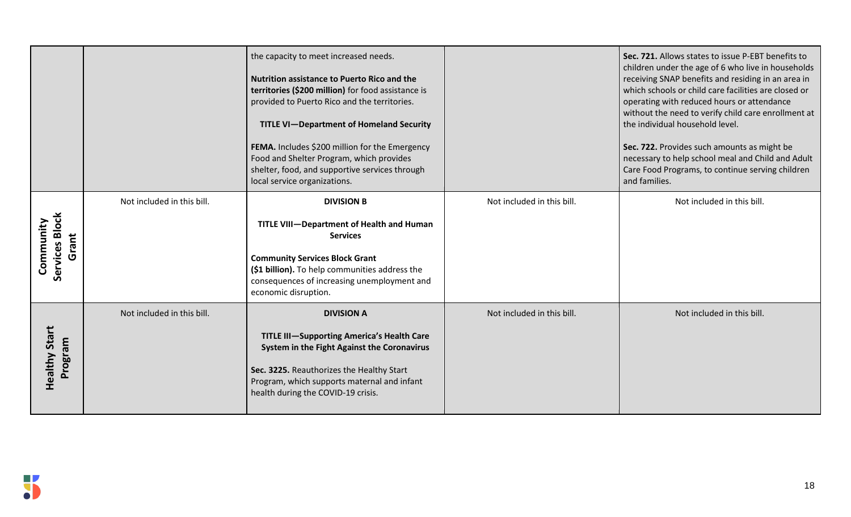|                                      |                            | the capacity to meet increased needs.<br><b>Nutrition assistance to Puerto Rico and the</b><br>territories (\$200 million) for food assistance is<br>provided to Puerto Rico and the territories.<br><b>TITLE VI-Department of Homeland Security</b><br>FEMA. Includes \$200 million for the Emergency<br>Food and Shelter Program, which provides<br>shelter, food, and supportive services through<br>local service organizations. |                            | Sec. 721. Allows states to issue P-EBT benefits to<br>children under the age of 6 who live in households<br>receiving SNAP benefits and residing in an area in<br>which schools or child care facilities are closed or<br>operating with reduced hours or attendance<br>without the need to verify child care enrollment at<br>the individual household level.<br>Sec. 722. Provides such amounts as might be<br>necessary to help school meal and Child and Adult<br>Care Food Programs, to continue serving children<br>and families. |
|--------------------------------------|----------------------------|--------------------------------------------------------------------------------------------------------------------------------------------------------------------------------------------------------------------------------------------------------------------------------------------------------------------------------------------------------------------------------------------------------------------------------------|----------------------------|-----------------------------------------------------------------------------------------------------------------------------------------------------------------------------------------------------------------------------------------------------------------------------------------------------------------------------------------------------------------------------------------------------------------------------------------------------------------------------------------------------------------------------------------|
| Services Block<br>Community<br>Grant | Not included in this bill. | <b>DIVISION B</b><br>TITLE VIII-Department of Health and Human<br><b>Services</b><br><b>Community Services Block Grant</b><br>(\$1 billion). To help communities address the<br>consequences of increasing unemployment and<br>economic disruption.                                                                                                                                                                                  | Not included in this bill. | Not included in this bill.                                                                                                                                                                                                                                                                                                                                                                                                                                                                                                              |
| <b>Healthy Start</b><br>Program      | Not included in this bill. | <b>DIVISION A</b><br>TITLE III-Supporting America's Health Care<br>System in the Fight Against the Coronavirus<br>Sec. 3225. Reauthorizes the Healthy Start<br>Program, which supports maternal and infant<br>health during the COVID-19 crisis.                                                                                                                                                                                     | Not included in this bill. | Not included in this bill.                                                                                                                                                                                                                                                                                                                                                                                                                                                                                                              |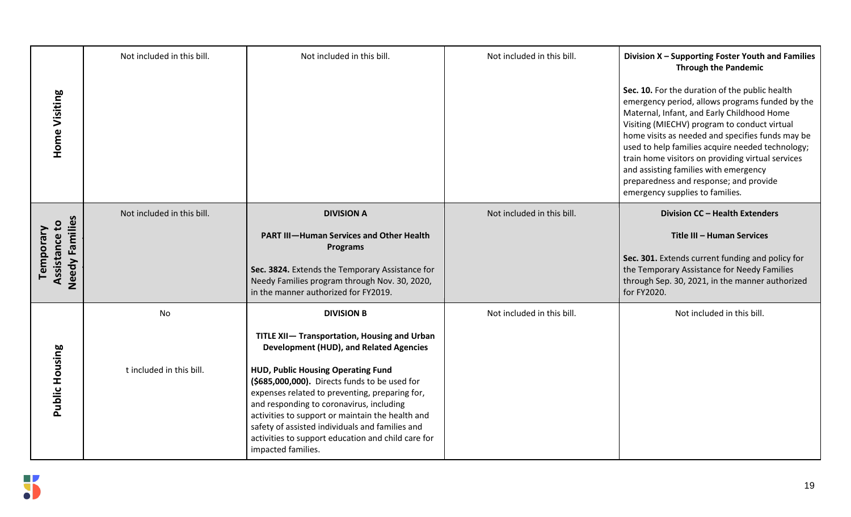| <b>Home Visiting</b>                         | Not included in this bill.     | Not included in this bill.                                                                                                                                                                                                                                                                                                                                                                                                                                                                  | Not included in this bill. | Division X - Supporting Foster Youth and Families<br><b>Through the Pandemic</b><br>Sec. 10. For the duration of the public health<br>emergency period, allows programs funded by the<br>Maternal, Infant, and Early Childhood Home<br>Visiting (MIECHV) program to conduct virtual<br>home visits as needed and specifies funds may be<br>used to help families acquire needed technology;<br>train home visitors on providing virtual services<br>and assisting families with emergency<br>preparedness and response; and provide<br>emergency supplies to families. |
|----------------------------------------------|--------------------------------|---------------------------------------------------------------------------------------------------------------------------------------------------------------------------------------------------------------------------------------------------------------------------------------------------------------------------------------------------------------------------------------------------------------------------------------------------------------------------------------------|----------------------------|------------------------------------------------------------------------------------------------------------------------------------------------------------------------------------------------------------------------------------------------------------------------------------------------------------------------------------------------------------------------------------------------------------------------------------------------------------------------------------------------------------------------------------------------------------------------|
| Needy Families<br>Assistance to<br>Temporary | Not included in this bill.     | <b>DIVISION A</b><br><b>PART III-Human Services and Other Health</b><br><b>Programs</b><br>Sec. 3824. Extends the Temporary Assistance for<br>Needy Families program through Nov. 30, 2020,<br>in the manner authorized for FY2019.                                                                                                                                                                                                                                                         | Not included in this bill. | Division CC - Health Extenders<br>Title III - Human Services<br>Sec. 301. Extends current funding and policy for<br>the Temporary Assistance for Needy Families<br>through Sep. 30, 2021, in the manner authorized<br>for FY2020.                                                                                                                                                                                                                                                                                                                                      |
| Public Housing                               | No<br>t included in this bill. | <b>DIVISION B</b><br>TITLE XII- Transportation, Housing and Urban<br><b>Development (HUD), and Related Agencies</b><br>HUD, Public Housing Operating Fund<br>(\$685,000,000). Directs funds to be used for<br>expenses related to preventing, preparing for,<br>and responding to coronavirus, including<br>activities to support or maintain the health and<br>safety of assisted individuals and families and<br>activities to support education and child care for<br>impacted families. | Not included in this bill. | Not included in this bill.                                                                                                                                                                                                                                                                                                                                                                                                                                                                                                                                             |